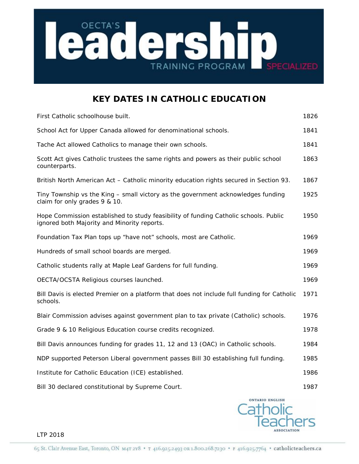

## **KEY DATES IN CATHOLIC EDUCATION**

| First Catholic schoolhouse built.                                                                                                   | 1826 |
|-------------------------------------------------------------------------------------------------------------------------------------|------|
| School Act for Upper Canada allowed for denominational schools.                                                                     | 1841 |
| Tache Act allowed Catholics to manage their own schools.                                                                            | 1841 |
| Scott Act gives Catholic trustees the same rights and powers as their public school<br>counterparts.                                | 1863 |
| British North American Act - Catholic minority education rights secured in Section 93.                                              | 1867 |
| Tiny Township vs the King - small victory as the government acknowledges funding<br>claim for only grades 9 & 10.                   | 1925 |
| Hope Commission established to study feasibility of funding Catholic schools. Public<br>ignored both Majority and Minority reports. | 1950 |
| Foundation Tax Plan tops up "have not" schools, most are Catholic.                                                                  | 1969 |
| Hundreds of small school boards are merged.                                                                                         | 1969 |
| Catholic students rally at Maple Leaf Gardens for full funding.                                                                     | 1969 |
| OECTA/OCSTA Religious courses launched.                                                                                             | 1969 |
| Bill Davis is elected Premier on a platform that does not include full funding for Catholic<br>schools.                             | 1971 |
| Blair Commission advises against government plan to tax private (Catholic) schools.                                                 | 1976 |
| Grade 9 & 10 Religious Education course credits recognized.                                                                         | 1978 |
| Bill Davis announces funding for grades 11, 12 and 13 (OAC) in Catholic schools.                                                    | 1984 |
| NDP supported Peterson Liberal government passes Bill 30 establishing full funding.                                                 | 1985 |
| Institute for Catholic Education (ICE) established.                                                                                 | 1986 |
| Bill 30 declared constitutional by Supreme Court.                                                                                   | 1987 |



LTP 2018